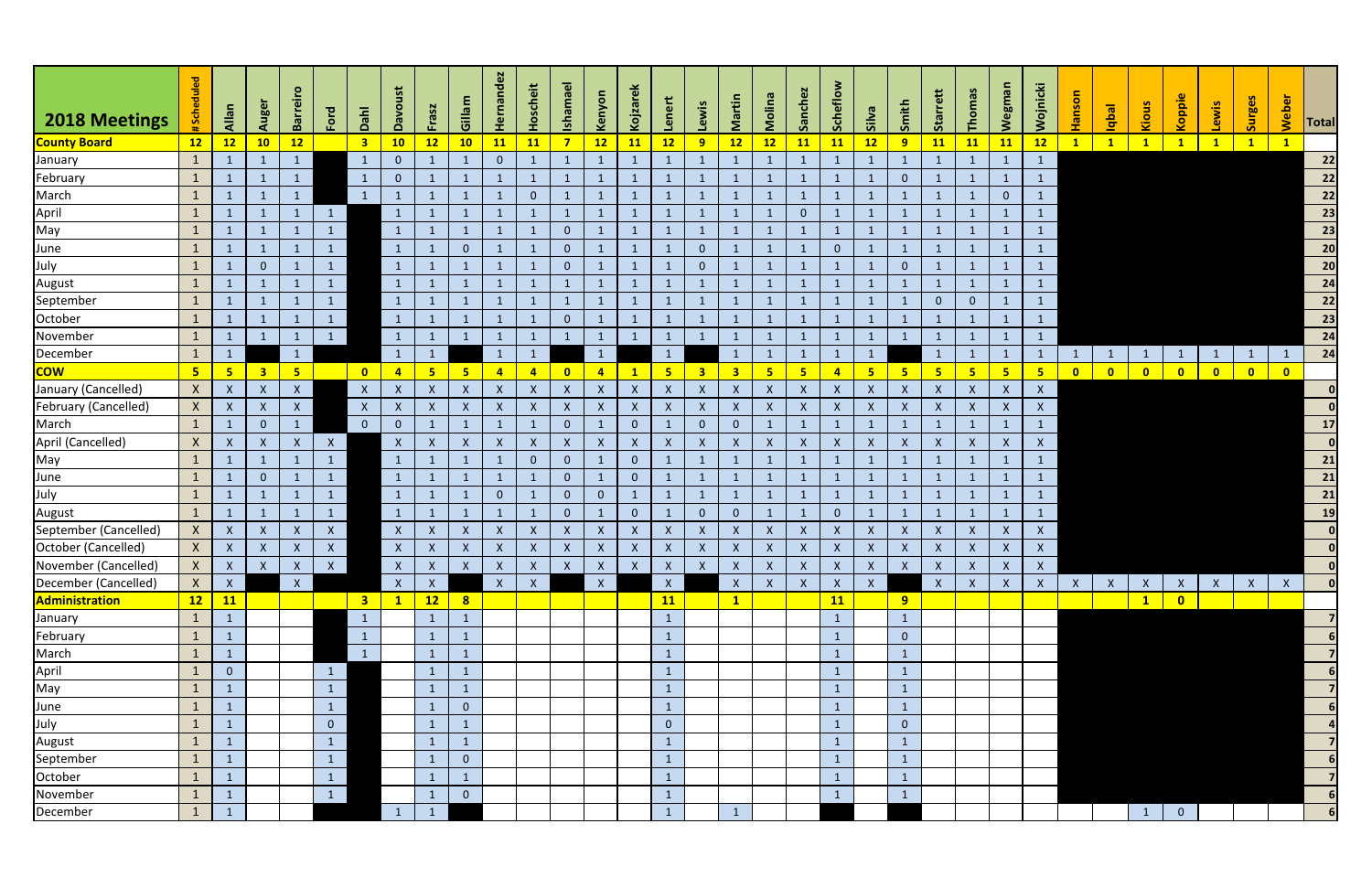| 2018 Meetings               | <b>Scheduled</b> | Allan          | Auger                     | <b>Barreiro</b> | Ford         | Dahl                    | ust<br>$\mathsf{v}$       | <b>Frasz</b>              | Gillam                    | dez<br>់ច<br><b>I</b>     | Hoscheit                  | <b>Ishama</b>  | Kenyon           | Kojzar                    | Lenert                    | Lewis                   | Martin                  | Molina           | Sanchez      | <b>Scheflo</b> | <b>Silva</b>              | Smith                     | <b>Sta</b>       | Thoma          | <b>Wegma</b>              | Wojnicki                  | <u>ິສ</u><br><b>II</b> | <b>Ieqbl</b> | Kiou                    | Koppie         | Lewis        | <b>Surges</b> | Weber                   | Total                                                                               |
|-----------------------------|------------------|----------------|---------------------------|-----------------|--------------|-------------------------|---------------------------|---------------------------|---------------------------|---------------------------|---------------------------|----------------|------------------|---------------------------|---------------------------|-------------------------|-------------------------|------------------|--------------|----------------|---------------------------|---------------------------|------------------|----------------|---------------------------|---------------------------|------------------------|--------------|-------------------------|----------------|--------------|---------------|-------------------------|-------------------------------------------------------------------------------------|
| <b>County Board</b>         | 12               | 12             | 10                        | 12              |              | $\overline{\mathbf{3}}$ | 10                        | 12                        | 10                        | 11                        | 11                        | $\overline{7}$ | 12               | 11                        | 12                        | 9                       | 12                      | 12               | <b>11</b>    | <b>11</b>      | 12                        | 9                         | <b>11</b>        | <b>11</b>      | 11                        | 12                        | $\mathbf{1}$           | $\mathbf{1}$ | $\mathbf{1}$            |                | $\mathbf{1}$ | $\mathbf{1}$  |                         |                                                                                     |
| January                     | $\mathbf{1}$     | $\mathbf{1}$   |                           | 1               |              | $\mathbf{1}$            | $\mathbf{0}$              |                           |                           | $\overline{0}$            |                           |                |                  | $\mathbf{1}$              |                           | $\mathbf{1}$            | $\mathbf{1}$            | $\mathbf{1}$     |              |                |                           | $\mathbf{1}$              |                  |                |                           | $\mathbf{1}$              |                        |              |                         |                |              |               |                         | 22                                                                                  |
| February                    | $\mathbf{1}$     | $\mathbf{1}$   |                           | $\mathbf{1}$    |              | $\mathbf{1}$            | $\overline{0}$            |                           |                           | $\mathbf{1}$              |                           | $\mathbf{1}$   | $\sqrt{1}$       | $\mathbf{1}$              |                           | $\mathbf{1}$            |                         | $\mathbf{1}$     |              | $\mathbf{1}$   |                           | $\overline{0}$            |                  |                |                           |                           |                        |              |                         |                |              |               |                         | $\boxed{22}$                                                                        |
| March                       | $\mathbf{1}$     | $\mathbf{1}$   | $\mathbf{1}$              | 1               |              | $\mathbf{1}$            |                           |                           |                           | $\mathbf{1}$              | $\mathbf{0}$              |                |                  | $\mathbf{1}$              | $\mathbf{1}$              | $\mathbf{1}$            | $\mathbf{1}$            | $\mathbf{1}$     |              |                |                           | $\mathbf{1}$              |                  | $\mathbf 1$    | $\overline{0}$            | $\mathbf{1}$              |                        |              |                         |                |              |               |                         | $\overline{22}$                                                                     |
| April                       | $\mathbf{1}$     | $\mathbf{1}$   |                           | $\mathbf{1}$    | $\mathbf{1}$ |                         |                           |                           |                           | 1                         |                           | $\mathbf{1}$   |                  | $\mathbf{1}$              |                           | $\mathbf{1}$            | $\mathbf{1}$            | $\mathbf{1}$     | $\mathbf{0}$ |                |                           | $\mathbf{1}$              |                  | -1             |                           |                           |                        |              |                         |                |              |               |                         | $\begin{array}{c}\n\overline{\mathbf{23}} \\ \overline{\mathbf{23}} \\ \end{array}$ |
| May                         | $\mathbf{1}$     | $\mathbf{1}$   |                           |                 | $\mathbf{1}$ |                         | $\mathbf{1}$              |                           |                           | $\mathbf{1}$              |                           | $\overline{0}$ |                  | $\mathbf{1}$              | $\mathbf{1}$              | $\mathbf{1}$            | $\mathbf{1}$            | $\mathbf{1}$     |              |                |                           | $\mathbf{1}$              |                  |                |                           |                           |                        |              |                         |                |              |               |                         |                                                                                     |
| June                        | $\mathbf{1}$     | $\mathbf{1}$   |                           |                 | $\mathbf{1}$ |                         | $\mathbf{1}$              |                           | $\mathbf{0}$              | $\mathbf 1$               |                           | $\overline{0}$ |                  | $\mathbf{1}$              |                           | $\overline{0}$          |                         | $\mathbf{1}$     |              | $\mathbf{0}$   |                           | $\mathbf{1}$              |                  |                |                           |                           |                        |              |                         |                |              |               |                         | $\overline{20}$                                                                     |
| July                        | $\mathbf{1}$     | $\mathbf{1}$   | $\overline{0}$            | $\mathbf{1}$    | $\vert$ 1    |                         | $\mathbf{1}$              |                           |                           | $\mathbf{1}$              |                           | $\overline{0}$ |                  | $\mathbf{1}$              | $\mathbf{1}$              | $\overline{0}$          | $\mathbf{1}$            | $\mathbf{1}$     |              |                |                           | $\mathbf{0}$              |                  | -1             |                           |                           |                        |              |                         |                |              |               |                         | $\overline{20}$                                                                     |
| August                      | $\mathbf{1}$     | $\mathbf{1}$   | $\mathbf{1}$              |                 | $\mathbf{1}$ |                         | 1                         |                           |                           | $\mathbf{1}$              |                           | $\mathbf{1}$   | $\mathbf{1}$     | $\mathbf{1}$              | $\mathbf{1}$              | $\mathbf{1}$            | $\mathbf{1}$            | $\mathbf{1}$     |              |                |                           | $\mathbf{1}$              |                  | $\mathbf{1}$   |                           |                           |                        |              |                         |                |              |               |                         | $\overline{24}$                                                                     |
| September                   | $\mathbf{1}$     | $\mathbf{1}$   |                           |                 | $\mathbf{1}$ |                         | $\mathbf{1}$              |                           |                           | $\mathbf{1}$              |                           |                |                  | $\mathbf{1}$              |                           | $\mathbf{1}$            |                         | $\mathbf{1}$     |              |                |                           | $\mathbf{1}$              | $\mathbf{0}$     | $\mathbf{0}$   |                           |                           |                        |              |                         |                |              |               |                         | $\overline{22}$                                                                     |
| October                     | $\mathbf{1}$     | $\mathbf{1}$   |                           |                 | $\mathbf{1}$ |                         | $\mathbf{1}$              |                           |                           | 1                         |                           | $\overline{0}$ |                  | $\mathbf{1}$              |                           | $\mathbf{1}$            |                         | $\mathbf{1}$     |              |                |                           | $\mathbf{1}$              |                  |                |                           |                           |                        |              |                         |                |              |               |                         | $\overline{23}$                                                                     |
| November                    | $\mathbf{1}$     | $\mathbf{1}$   |                           |                 | $\mathbf{1}$ |                         | $\overline{1}$            |                           |                           | $\mathbf{1}$              |                           |                |                  | $\mathbf{1}$              |                           | $\mathbf{1}$            |                         | $\mathbf{1}$     |              |                |                           | 1                         |                  |                |                           | $\mathbf{1}$              |                        |              |                         |                |              |               |                         | $\overline{24}$                                                                     |
| December                    | $\mathbf{1}$     | $\mathbf{1}$   |                           | $\mathbf{1}$    |              |                         | $\overline{1}$            | $\mathbf{1}$              |                           | $\mathbf{1}$              |                           |                |                  |                           | $\lceil$                  |                         | $\mathbf{1}$            | $\mathbf{1}$     |              |                |                           |                           | - 1              |                |                           | $\mathbf{1}$              |                        |              |                         |                |              |               |                         | 24                                                                                  |
| <b>COW</b>                  | 5 <sub>o</sub>   | 5 <sup>7</sup> | $\overline{\mathbf{3}}$   | 5 <sub>1</sub>  |              | $\bullet$               | $\overline{4}$            | 5 <sub>1</sub>            | 5 <sub>o</sub>            | $\overline{4}$            | $\overline{a}$            | $\bullet$      | $\overline{4}$   |                           | 5 <sub>5</sub>            | $\overline{\mathbf{3}}$ | $\overline{\mathbf{3}}$ | 5 <sub>1</sub>   | 5            | $\overline{a}$ | 5 <sub>1</sub>            | $5\phantom{1}$            | $5\phantom{1}$   | 5 <sub>5</sub> | 5 <sub>o</sub>            | 5 <sub>5</sub>            | $\bullet$              | $\bullet$    | $\bullet$               | $\bullet$      | $\bullet$    | $\bullet$     | $\overline{\mathbf{0}}$ |                                                                                     |
| January (Cancelled)         | $\mathsf{X}$     | $\mathsf{X}$   | $\boldsymbol{X}$          | $\mathsf{X}$    |              | $\mathsf{X}$            | $\boldsymbol{\mathsf{X}}$ | $\mathsf{X}$              | $\boldsymbol{\mathsf{X}}$ | $\boldsymbol{X}$          | $\mathsf{X}$              | $\mathsf{X}$   | $\boldsymbol{X}$ | $\boldsymbol{\mathsf{X}}$ | $\boldsymbol{X}$          | $\mathsf{X}$            | $\mathsf{X}$            | $\mathsf{X}$     | $\mathsf{X}$ | $\mathsf{X}$   | $\boldsymbol{X}$          | $\boldsymbol{\mathsf{X}}$ | X                | X              | $\boldsymbol{X}$          | $\boldsymbol{X}$          |                        |              |                         |                |              |               |                         | 0                                                                                   |
| <b>February (Cancelled)</b> | $\mathsf{X}$     | $\mathsf{X}$   | $\mathsf{X}$              | X               |              | $\mathsf{X}$            | $\boldsymbol{X}$          | $\pmb{\times}$            | $\mathsf{X}$              | $\boldsymbol{X}$          | $\boldsymbol{X}$          | $\mathsf{X}$   | $\boldsymbol{X}$ | $\boldsymbol{\mathsf{X}}$ | $\mathsf{X}$              | $\mathsf{X}$            | $\mathsf{X}$            | $\mathsf{X}$     | $\mathsf{X}$ | $\mathsf{X}$   | $\mathsf{X}$              | $\boldsymbol{X}$          | $\boldsymbol{X}$ | $\mathsf{X}$   | $\boldsymbol{X}$          | $\mathsf{X}$              |                        |              |                         |                |              |               |                         | 0                                                                                   |
| March                       | $\mathbf{1}$     | $\mathbf{1}$   | $\overline{0}$            | 1               |              | $\overline{0}$          | $\Omega$                  | $\mathbf{1}$              | $\mathbf{1}$              | $\mathbf{1}$              |                           | $\overline{0}$ |                  | $\overline{0}$            | $\mathbf{1}$              | $\overline{0}$          | $\overline{0}$          | $\mathbf{1}$     |              |                |                           | $\mathbf{1}$              |                  | $\mathbf{1}$   | $\overline{1}$            | $\mathbf{1}$              |                        |              |                         |                |              |               |                         | $17$                                                                                |
| April (Cancelled)           | $\mathsf{X}$     | $\mathsf{X}$   | $\boldsymbol{\mathsf{X}}$ | X               | $\mathsf{X}$ |                         | $\boldsymbol{X}$          | $\mathsf{X}$              | $\boldsymbol{\mathsf{X}}$ | $\boldsymbol{X}$          | $\boldsymbol{X}$          | $\mathsf{X}$   | $\mathsf{X}$     | $\boldsymbol{X}$          | $\mathsf{X}$              | $\mathsf{X}$            | $\mathsf{X}$            | $\boldsymbol{X}$ | X            | $\mathsf{X}$   | $\boldsymbol{X}$          | $\boldsymbol{\mathsf{X}}$ | X                | $\mathsf{X}$   | $\times$                  | $\boldsymbol{\mathsf{X}}$ |                        |              |                         |                |              |               |                         | 0                                                                                   |
| May                         | $\mathbf{1}$     | $\mathbf{1}$   |                           |                 | $\mathbf{1}$ |                         | $\mathbf{1}$              |                           |                           | $\mathbf{1}$              | $\overline{0}$            | $\overline{0}$ |                  | $\overline{0}$            |                           | $\mathbf{1}$            |                         | $\mathbf{1}$     |              |                |                           | $\mathbf{1}$              |                  |                |                           |                           |                        |              |                         |                |              |               |                         | 21                                                                                  |
| June                        | $\mathbf{1}$     | $\mathbf{1}$   | $\mathbf 0$               |                 | $\mathbf{1}$ |                         | $\mathbf{1}$              |                           |                           | $\mathbf{1}$              |                           | $\overline{0}$ |                  | $\overline{0}$            |                           | $\mathbf{1}$            |                         | $\mathbf{1}$     |              |                |                           | $\mathbf{1}$              |                  |                |                           | $\mathbf{1}$              |                        |              |                         |                |              |               |                         | $\overline{21}$                                                                     |
| July                        | $\mathbf{1}$     | $\mathbf{1}$   | $\mathbf{1}$              | 1               | $\mathbf{1}$ |                         | $\mathbf{1}$              | -1                        |                           | $\overline{0}$            |                           | $\overline{0}$ | $\mathbf{0}$     | $\mathbf{1}$              | $\mathbf{1}$              | $\mathbf{1}$            | $\mathbf{1}$            | $\mathbf{1}$     |              | 1              |                           | $\mathbf{1}$              |                  | -1             |                           |                           |                        |              |                         |                |              |               |                         | $\overline{21}$                                                                     |
| August                      | $\mathbf{1}$     | $\mathbf{1}$   |                           |                 | $\mathbf{1}$ |                         | $\mathbf{1}$              |                           |                           | $\mathbf{1}$              |                           | $\overline{0}$ | $\mathbf{1}$     | $\overline{0}$            | $\overline{1}$            | $\overline{0}$          | $\overline{0}$          | $\mathbf{1}$     |              | $\mathbf{0}$   |                           | $\mathbf{1}$              |                  | $\mathbf 1$    |                           | $\mathbf{1}$              |                        |              |                         |                |              |               |                         | $\boxed{19}$                                                                        |
| September (Cancelled)       | $\mathsf{X}$     | $\mathsf{X}$   | $\mathsf{X}$              | X               | $\mathsf{X}$ |                         | $\mathsf{X}$              | X                         | $\boldsymbol{X}$          | $\boldsymbol{\mathsf{X}}$ | $\boldsymbol{X}$          | $\mathsf{X}$   | $\mathsf{X}$     | $\boldsymbol{\mathsf{X}}$ | $\mathsf{X}$              | $\mathsf{X}$            | $\mathsf{X}$            | $\mathsf{X}$     | X            | $\mathsf{X}$   | $\boldsymbol{X}$          | $\boldsymbol{X}$          | X                | $\mathsf{X}$   | X                         | $\mathsf{X}$              |                        |              |                         |                |              |               |                         | 0                                                                                   |
| October (Cancelled)         | $\mathsf{X}$     | $\mathsf{X}$   | $\mathsf{X}$              | $\mathsf{X}$    | $\mathsf{X}$ |                         | $\mathsf{X}$              | $\boldsymbol{\mathsf{X}}$ | $\boldsymbol{\mathsf{X}}$ | $\boldsymbol{\mathsf{X}}$ | $\boldsymbol{\mathsf{X}}$ | $\mathsf{X}$   | $\mathsf{X}$     | $\pmb{\mathsf{X}}$        | $\boldsymbol{\mathsf{X}}$ | $\pmb{\times}$          | $\mathsf{X}$            | $\boldsymbol{X}$ | $\mathsf{X}$ | $\mathsf{X}$   | $\boldsymbol{\mathsf{X}}$ | $\boldsymbol{\mathsf{X}}$ | $\boldsymbol{X}$ | $\mathsf{X}$   | $\boldsymbol{\mathsf{X}}$ | $\pmb{\mathsf{X}}$        |                        |              |                         |                |              |               |                         | <b>O</b>                                                                            |
| November (Cancelled)        | $\mathsf{X}$     | $\mathsf{X}$   | X                         |                 | $X \mid X$   |                         | $\mathsf{X}$              |                           | $X \mid X$                | $\mathsf{X}$              | $\mathsf{X}$              | X              | $\mathsf{X}$     | $\mathsf{X}$              | $\mathsf{X}$              | $\mathsf{X}$            | $\mathsf{X}$            | $\mathsf{X}$     | $\mathsf{X}$ | $\mathsf{X}$   | $\mathsf{X}$              | $\mathsf{X}$              | $\mathsf{X}$     | $\mathsf{X}$   | $\mathsf{X}$              | $\mathsf{X}$              |                        |              |                         |                |              |               |                         |                                                                                     |
| December (Cancelled)        | $\mathsf{X}$     | $\mathsf{X}^-$ |                           | $\mathsf{X}$    |              |                         | X                         | X                         |                           | $\mathsf{X}$              | $\mathsf{X}$              |                | $\mathsf{X}$     |                           | $\mathsf{X}$              |                         | $\mathsf{X}$            | X                | X            | $\mathsf{X}$   | $X -$                     |                           | $\mathsf{X}$     | $\mathsf{X}$   | $\mathsf{X}$              | $\mathsf{X}$              | $\mathsf{X}$           | $\mathsf{X}$ | $\mathsf{X}$            | $\mathsf{X}$   | X            | $\mathsf{X}$  | X                       | 0                                                                                   |
| <b>Administration</b>       | 12               | 11             |                           |                 |              | 3 <sup>7</sup>          | $\mathbf{1}$              | 12                        | $\overline{\mathbf{8}}$   |                           |                           |                |                  |                           | 11                        |                         | $\mathbf{1}$            |                  |              | 11             |                           | 9                         |                  |                |                           |                           |                        |              | $\overline{\mathbf{1}}$ | $\bullet$      |              |               |                         |                                                                                     |
| January                     | $\mathbf{1}$     | $\mathbf{1}$   |                           |                 |              | $\mathbf{1}$            |                           | $\mathbf{1}$              | $\mathbf{1}$              |                           |                           |                |                  |                           | $\mathbf{1}$              |                         |                         |                  |              | $\mathbf{1}$   |                           | $\mathbf{1}$              |                  |                |                           |                           |                        |              |                         |                |              |               |                         |                                                                                     |
| February                    | $\mathbf{1}$     | $\mathbf{1}$   |                           |                 |              | $\mathbf{1}$            |                           | $\mathbf{1}$              | $\mathbf{1}$              |                           |                           |                |                  |                           | $\mathbf{1}$              |                         |                         |                  |              | $\mathbf{1}$   |                           | $\overline{0}$            |                  |                |                           |                           |                        |              |                         |                |              |               |                         |                                                                                     |
| March                       | $\mathbf{1}$     | $\mathbf{1}$   |                           |                 |              | $\vert$ 1               |                           | $\mathbf{1}$              | $\mathbf{1}$              |                           |                           |                |                  |                           | $\mathbf{1}$              |                         |                         |                  |              | $\mathbf 1$    |                           | $\mathbf{1}$              |                  |                |                           |                           |                        |              |                         |                |              |               |                         |                                                                                     |
| April                       | $\mathbf{1}$     | $\overline{0}$ |                           |                 | $\mathbf{1}$ |                         |                           | $\mathbf{1}$              |                           |                           |                           |                |                  |                           | $\mathbf{1}$              |                         |                         |                  |              |                |                           | $\mathbf{1}$              |                  |                |                           |                           |                        |              |                         |                |              |               |                         | 6 <sup>1</sup>                                                                      |
| May                         | $\mathbf{1}$     | $\mathbf{1}$   |                           |                 | $\mathbf{1}$ |                         |                           | $\mathbf{1}$              | $\mathbf{1}$              |                           |                           |                |                  |                           | $\mathbf{1}$              |                         |                         |                  |              | $\mathbf{1}$   |                           | $\mathbf{1}$              |                  |                |                           |                           |                        |              |                         |                |              |               |                         |                                                                                     |
|                             | $\mathbf{1}$     | $\mathbf{1}$   |                           |                 | $\vert$ 1    |                         |                           | $\mathbf{1}$              | $\overline{0}$            |                           |                           |                |                  |                           | $\mathbf{1}$              |                         |                         |                  |              | $\mathbf{1}$   |                           | $\mathbf{1}$              |                  |                |                           |                           |                        |              |                         |                |              |               |                         |                                                                                     |
| June<br>July<br>August      | $\mathbf{1}$     | $\mathbf{1}$   |                           |                 | $\mathbf{0}$ |                         |                           | $\mathbf{1}$              | $\mathbf{1}$              |                           |                           |                |                  |                           | $\overline{0}$            |                         |                         |                  |              | $\mathbf 1$    |                           | $\overline{0}$            |                  |                |                           |                           |                        |              |                         |                |              |               |                         | $\vert$ 4                                                                           |
|                             | $\mathbf{1}$     | $\mathbf{1}$   |                           |                 | $\mathbf{1}$ |                         |                           | $\mathbf{1}$              | $\mathbf{1}$              |                           |                           |                |                  |                           | $\mathbf{1}$              |                         |                         |                  |              | $\mathbf{1}$   |                           | $\mathbf{1}$              |                  |                |                           |                           |                        |              |                         |                |              |               |                         | $\overline{7}$                                                                      |
| September                   | $\mathbf{1}$     | $\mathbf{1}$   |                           |                 | $\mathbf{1}$ |                         |                           | $\mathbf{1}$              | $\overline{0}$            |                           |                           |                |                  |                           | $\mathbf{1}$              |                         |                         |                  |              | $\mathbf 1$    |                           | $\mathbf{1}$              |                  |                |                           |                           |                        |              |                         |                |              |               |                         | 6 <sup>1</sup>                                                                      |
| October                     | $\mathbf{1}$     | $\mathbf{1}$   |                           |                 | $\vert$ 1    |                         |                           | $\mathbf{1}$              | $\mathbf{1}$              |                           |                           |                |                  |                           | $\mathbf{1}$              |                         |                         |                  |              | $\mathbf{1}$   |                           | $\mathbf{1}$              |                  |                |                           |                           |                        |              |                         |                |              |               |                         |                                                                                     |
| November                    | $\mathbf{1}$     | $\mathbf{1}$   |                           |                 | $\sqrt{1}$   |                         |                           | $\mathbf{1}$              | $\overline{0}$            |                           |                           |                |                  |                           | $\mathbf{1}$              |                         |                         |                  |              | $\mathbf{1}$   |                           | $\mathbf{1}$              |                  |                |                           |                           |                        |              |                         |                |              |               |                         |                                                                                     |
| December                    | $\mathbf{1}$     | $\mathbf{1}$   |                           |                 |              |                         | $\overline{1}$            | $\mathbf{1}$              |                           |                           |                           |                |                  |                           | $\mathbf{1}$              |                         |                         |                  |              |                |                           |                           |                  |                |                           |                           |                        |              | $\mathbf{1}$            | $\overline{0}$ |              |               |                         |                                                                                     |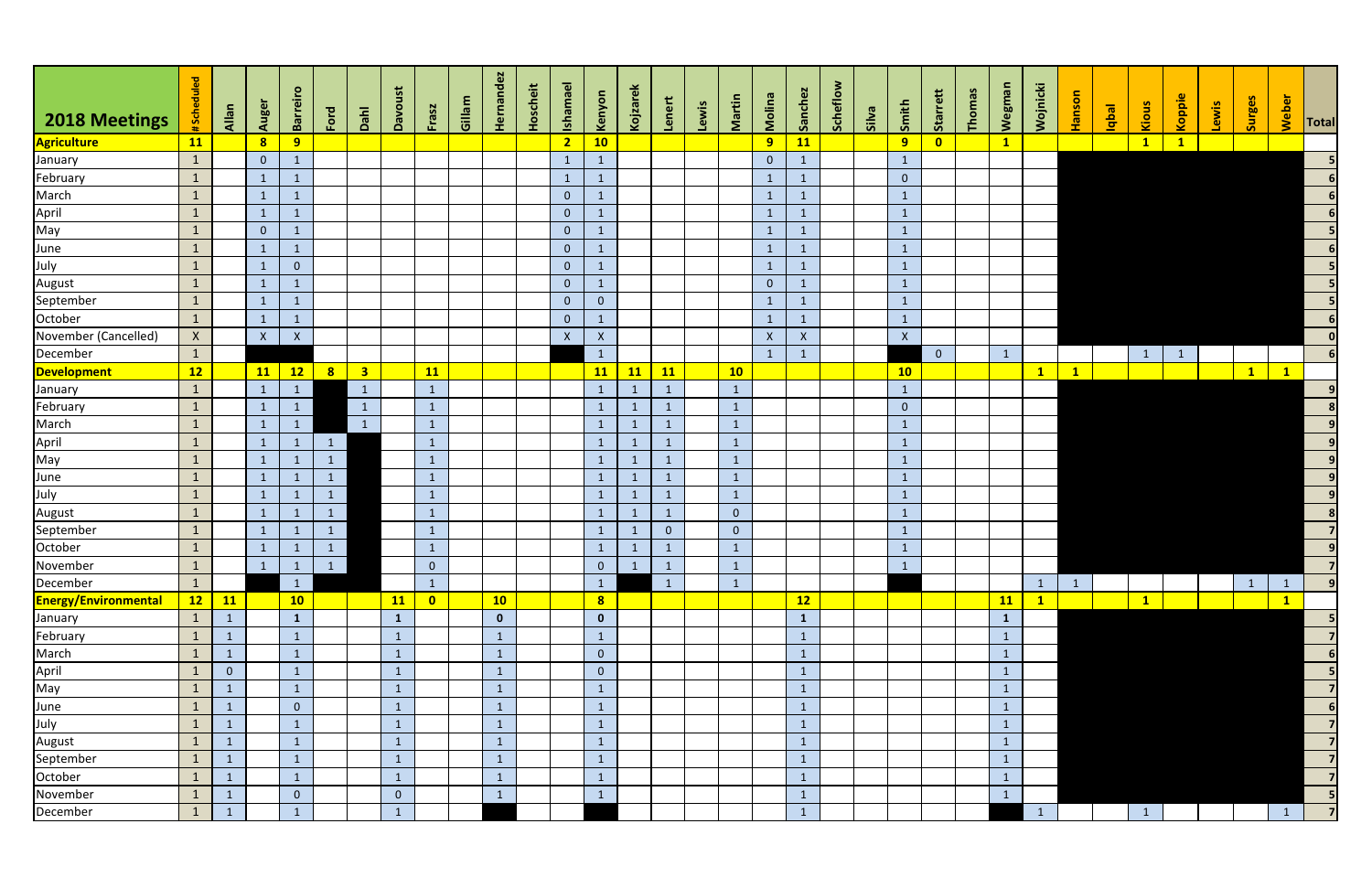| 2018 Meetings                                            | #Scheduled   | Allan          | Auger          | Barreiro                           | Ford                                    | Dahl                    | Davoust        | Frasz          | Gillam | Hernandez    | Hoscheit | <b>Ishamael</b> | Kenyon         | <b>Kojzarek</b> | Lenert         | Lewis | Martin         | Molina         | Sanchez      | Scheflow | silva | Smith            | Starrett       | Thomas | <b>Wegman</b>   | <b>Nojnicki</b> | <b>Hanson</b> | <b>Ieqbi</b> | Kious                   | Koppie       | Lewis | Surges       | Weber           | Total           |
|----------------------------------------------------------|--------------|----------------|----------------|------------------------------------|-----------------------------------------|-------------------------|----------------|----------------|--------|--------------|----------|-----------------|----------------|-----------------|----------------|-------|----------------|----------------|--------------|----------|-------|------------------|----------------|--------|-----------------|-----------------|---------------|--------------|-------------------------|--------------|-------|--------------|-----------------|-----------------|
| <b>Agriculture</b>                                       | 11           |                | 8 <sup>1</sup> | 9                                  |                                         |                         |                |                |        |              |          | $\overline{2}$  | 10             |                 |                |       |                | 9 <sup>°</sup> | 11           |          |       | 9                | $\bullet$      |        | $\mathbf{1}$    |                 |               |              | $\overline{\mathbf{1}}$ | $\mathbf{1}$ |       |              |                 |                 |
| January                                                  | $\mathbf{1}$ |                | $\overline{0}$ |                                    |                                         |                         |                |                |        |              |          | $\mathbf{1}$    | $\overline{1}$ |                 |                |       |                | $\overline{0}$ |              |          |       | $\mathbf{1}$     |                |        |                 |                 |               |              |                         |              |       |              |                 |                 |
| February                                                 | $\mathbf{1}$ |                | $\mathbf{1}$   |                                    |                                         |                         |                |                |        |              |          | $\mathbf{1}$    | $\mathbf{1}$   |                 |                |       |                | $\mathbf{1}$   |              |          |       | $\overline{0}$   |                |        |                 |                 |               |              |                         |              |       |              |                 |                 |
| March                                                    | $\mathbf{1}$ |                | $\mathbf{1}$   |                                    |                                         |                         |                |                |        |              |          | $\overline{0}$  | $\mathbf{1}$   |                 |                |       |                | $\mathbf{1}$   |              |          |       | $\mathbf{1}$     |                |        |                 |                 |               |              |                         |              |       |              |                 |                 |
|                                                          | $\mathbf{1}$ |                | $\mathbf{1}$   |                                    |                                         |                         |                |                |        |              |          | $\overline{0}$  | $\mathbf{1}$   |                 |                |       |                | $\mathbf{1}$   |              |          |       | $\mathbf{1}$     |                |        |                 |                 |               |              |                         |              |       |              |                 |                 |
| April<br>May                                             | $\mathbf{1}$ |                | $\overline{0}$ |                                    |                                         |                         |                |                |        |              |          | $\overline{0}$  | $\mathbf{1}$   |                 |                |       |                | $\mathbf{1}$   |              |          |       | $\mathbf{1}$     |                |        |                 |                 |               |              |                         |              |       |              |                 |                 |
|                                                          | $\mathbf{1}$ |                | $\mathbf{1}$   | $\mathbf{1}$                       |                                         |                         |                |                |        |              |          | $\overline{0}$  | $\mathbf{1}$   |                 |                |       |                | $\mathbf{1}$   |              |          |       | $\mathbf{1}$     |                |        |                 |                 |               |              |                         |              |       |              |                 |                 |
|                                                          | $\mathbf{1}$ |                | $\mathbf{1}$   | $\overline{0}$                     |                                         |                         |                |                |        |              |          | $\overline{0}$  | $\mathbf{1}$   |                 |                |       |                | $\mathbf{1}$   |              |          |       | $\mathbf{1}$     |                |        |                 |                 |               |              |                         |              |       |              |                 |                 |
| June<br>July<br>August                                   | $\mathbf{1}$ |                | $\mathbf{1}$   |                                    |                                         |                         |                |                |        |              |          | $\overline{0}$  | $\mathbf{1}$   |                 |                |       |                | $\overline{0}$ |              |          |       | $\mathbf{1}$     |                |        |                 |                 |               |              |                         |              |       |              |                 |                 |
| September                                                | $\mathbf{1}$ |                | $\mathbf{1}$   |                                    |                                         |                         |                |                |        |              |          | $\overline{0}$  | $\overline{0}$ |                 |                |       |                | $\mathbf{1}$   |              |          |       | $\mathbf{1}$     |                |        |                 |                 |               |              |                         |              |       |              |                 |                 |
| October                                                  | $\mathbf{1}$ |                | $\mathbf{1}$   | $\mathbf{1}$                       |                                         |                         |                |                |        |              |          | $\overline{0}$  | $\mathbf{1}$   |                 |                |       |                | $\mathbf{1}$   |              |          |       | $\mathbf{1}$     |                |        |                 |                 |               |              |                         |              |       |              |                 |                 |
| November (Cancelled)                                     | $\mathsf{X}$ |                | $\mathsf X$    | $\pmb{\mathsf{X}}$                 |                                         |                         |                |                |        |              |          | $\mathsf{X}$    | $\mathsf{X}$   |                 |                |       |                | $\mathsf X$    | $\mathsf X$  |          |       | $\boldsymbol{X}$ |                |        |                 |                 |               |              |                         |              |       |              |                 |                 |
| December                                                 | $\mathbf{1}$ |                |                |                                    |                                         |                         |                |                |        |              |          |                 | $\mathbf{1}$   |                 |                |       |                | $\mathbf{1}$   |              |          |       |                  | $\overline{0}$ |        |                 |                 |               |              |                         |              |       |              |                 |                 |
| Development                                              | 12           |                | 11             | 12                                 | 8                                       | $\overline{\mathbf{3}}$ |                | <b>11</b>      |        |              |          |                 | <b>11</b>      | 11              | 11             |       | 10             |                |              |          |       | 10               |                |        |                 | $\mathbf{1}$    | $\mathbf{1}$  |              |                         |              |       | $\vert$ 1    | $\mathbf{1}$    |                 |
| January                                                  | $\mathbf{1}$ |                | $\mathbf{1}$   | $\mathbf{1}$                       |                                         | $\mathbf{1}$            |                | $\mathbf{1}$   |        |              |          |                 | $\mathbf{1}$   | $\mathbf{1}$    | $\mathbf{1}$   |       | $\mathbf{1}$   |                |              |          |       | $\mathbf{1}$     |                |        |                 |                 |               |              |                         |              |       |              |                 |                 |
| February                                                 | $\mathbf{1}$ |                | $\mathbf{1}$   | $\mathbf{1}$                       |                                         | $\mathbf{1}$            |                | $\mathbf{1}$   |        |              |          |                 | $\mathbf{1}$   | $\mathbf{1}$    | $\mathbf{1}$   |       | $\mathbf{1}$   |                |              |          |       | $\overline{0}$   |                |        |                 |                 |               |              |                         |              |       |              |                 |                 |
| March                                                    | $\mathbf{1}$ |                | $\mathbf{1}$   |                                    |                                         | $\mathbf{1}$            |                | $\mathbf{1}$   |        |              |          |                 | $\mathbf{1}$   | $\mathbf{1}$    | $\mathbf{1}$   |       | $\mathbf{1}$   |                |              |          |       | $\mathbf{1}$     |                |        |                 |                 |               |              |                         |              |       |              |                 |                 |
|                                                          | $\mathbf{1}$ |                | $\mathbf{1}$   |                                    | $\mathbf{1}$                            |                         |                | $\mathbf{1}$   |        |              |          |                 | $\mathbf{1}$   | $\mathbf{1}$    | $\mathbf{1}$   |       | $\mathbf{1}$   |                |              |          |       | $\mathbf{1}$     |                |        |                 |                 |               |              |                         |              |       |              |                 |                 |
| April<br>May                                             | $\mathbf{1}$ |                | $\mathbf{1}$   | $\mathbf{1}$                       | $\mathbf{1}$                            |                         |                | $\mathbf{1}$   |        |              |          |                 | $\mathbf{1}$   | $\mathbf{1}$    | $\mathbf{1}$   |       | $\mathbf{1}$   |                |              |          |       | $\mathbf{1}$     |                |        |                 |                 |               |              |                         |              |       |              |                 |                 |
| June<br>July<br>August                                   | $\mathbf{1}$ |                | $\mathbf{1}$   | $\mathbf{1}$                       | $\mathbf{1}$                            |                         |                | $\mathbf{1}$   |        |              |          |                 | $\mathbf{1}$   | $\mathbf{1}$    | $\mathbf{1}$   |       | $\mathbf{1}$   |                |              |          |       | $\mathbf{1}$     |                |        |                 |                 |               |              |                         |              |       |              |                 |                 |
|                                                          | $\mathbf{1}$ |                | $\mathbf{1}$   |                                    | $\mathbf{1}$                            |                         |                | $\mathbf{1}$   |        |              |          |                 | $\mathbf{1}$   | $\mathbf{1}$    | $\mathbf{1}$   |       | $\mathbf{1}$   |                |              |          |       | $\mathbf{1}$     |                |        |                 |                 |               |              |                         |              |       |              |                 | $\vert 9 \vert$ |
|                                                          | $\mathbf{1}$ |                | $\mathbf{1}$   |                                    | $\mathbf{1}$                            |                         |                | $\mathbf{1}$   |        |              |          |                 | $\overline{1}$ | $\mathbf{1}$    | $\mathbf{1}$   |       | $\mathbf 0$    |                |              |          |       | $\mathbf{1}$     |                |        |                 |                 |               |              |                         |              |       |              |                 |                 |
| September<br>October<br>November                         | $\mathbf{1}$ |                | $\mathbf{1}$   |                                    | $\mathbf{1}$                            |                         |                | $\mathbf{1}$   |        |              |          |                 | $\mathbf{1}$   | $\mathbf{1}$    | $\overline{0}$ |       | $\overline{0}$ |                |              |          |       | $\mathbf{1}$     |                |        |                 |                 |               |              |                         |              |       |              |                 |                 |
|                                                          | $\mathbf{1}$ |                | $\mathbf{1}$   |                                    | $\mathbf{1}$                            |                         |                | $\mathbf 1$    |        |              |          |                 | $\mathbf{1}$   | $\mathbf{1}$    | $\mathbf{1}$   |       | $\mathbf{1}$   |                |              |          |       | $\mathbf{1}$     |                |        |                 |                 |               |              |                         |              |       |              |                 |                 |
|                                                          | $\mathbf{1}$ |                | $\mathbf{1}$   | $\begin{array}{c c} 1 \end{array}$ | $\begin{array}{c} \hline 1 \end{array}$ |                         |                | $\overline{0}$ |        |              |          |                 | $\overline{0}$ | $\vert$ 1       | $\mathbf{1}$   |       | $\mathbf{1}$   |                |              |          |       | $\mathbf{1}$     |                |        |                 |                 |               |              |                         |              |       |              |                 |                 |
| December                                                 | $\mathbf{1}$ |                |                | $\boxed{1}$                        |                                         |                         |                | $\mathbf{1}$   |        |              |          |                 | $\mathbf{1}$   |                 | $\mathbf{1}$   |       | $\mathbf{1}$   |                |              |          |       |                  |                |        |                 | $\mathbf{1}$    | $\mathbf{1}$  |              |                         |              |       | $\mathbf{1}$ | $\mathbf{1}$    | $\vert$ 9       |
| Energy/Environmental                                     | 12           | <b>11</b>      |                | 10                                 |                                         |                         | 11             | $\bullet$      |        | 10           |          |                 | 8              |                 |                |       |                |                | 12           |          |       |                  |                |        | $\overline{11}$ | $\mathbf{1}$    |               |              | $\mathbf{1}$            |              |       |              | $\vert 1 \vert$ |                 |
| January<br>February                                      | $\mathbf{1}$ | $\mathbf{1}$   |                | $\mathbf{1}$                       |                                         |                         | $\mathbf{1}$   |                |        | $\mathbf{0}$ |          |                 | $\mathbf{0}$   |                 |                |       |                |                | $\mathbf{1}$ |          |       |                  |                |        | $\mathbf{1}$    |                 |               |              |                         |              |       |              |                 |                 |
|                                                          | $\mathbf{1}$ | $\mathbf{1}$   |                | $\mathbf{1}$                       |                                         |                         | $\mathbf{1}$   |                |        | $\mathbf{1}$ |          |                 | $\mathbf{1}$   |                 |                |       |                |                |              |          |       |                  |                |        | $\mathbf{1}$    |                 |               |              |                         |              |       |              |                 |                 |
|                                                          | $\mathbf{1}$ | $\mathbf{1}$   |                |                                    |                                         |                         | $\mathbf{1}$   |                |        | $\mathbf{1}$ |          |                 | $\overline{0}$ |                 |                |       |                |                |              |          |       |                  |                |        | $\mathbf{1}$    |                 |               |              |                         |              |       |              |                 | 6               |
|                                                          | $\mathbf{1}$ | $\overline{0}$ |                | $\mathbf{1}$                       |                                         |                         | $\mathbf{1}$   |                |        | $\mathbf{1}$ |          |                 | $\overline{0}$ |                 |                |       |                |                |              |          |       |                  |                |        | $\mathbf{1}$    |                 |               |              |                         |              |       |              |                 |                 |
|                                                          | $\mathbf{1}$ | $\mathbf{1}$   |                | $\vert$ 1                          |                                         |                         | $\mathbf{1}$   |                |        | $\mathbf{1}$ |          |                 | $\mathbf{1}$   |                 |                |       |                |                |              |          |       |                  |                |        | $\mathbf{1}$    |                 |               |              |                         |              |       |              |                 |                 |
|                                                          | $\mathbf{1}$ | $\mathbf{1}$   |                | $\overline{0}$                     |                                         |                         | $\mathbf{1}$   |                |        | $\mathbf{1}$ |          |                 | $\mathbf{1}$   |                 |                |       |                |                |              |          |       |                  |                |        | $\mathbf{1}$    |                 |               |              |                         |              |       |              |                 | 6               |
| March<br>March<br>April<br>May<br>June<br>July<br>August | $\mathbf{1}$ | $\mathbf{1}$   |                |                                    |                                         |                         | $\mathbf{1}$   |                |        | $\mathbf{1}$ |          |                 | $\mathbf{1}$   |                 |                |       |                |                |              |          |       |                  |                |        | $\mathbf{1}$    |                 |               |              |                         |              |       |              |                 | $\overline{7}$  |
|                                                          | $\mathbf{1}$ | $\mathbf{1}$   |                | $\mathbf{1}$                       |                                         |                         | $\mathbf{1}$   |                |        | $\mathbf{1}$ |          |                 | $\mathbf{1}$   |                 |                |       |                |                |              |          |       |                  |                |        | $\mathbf{1}$    |                 |               |              |                         |              |       |              |                 |                 |
| September<br>October                                     | $\mathbf{1}$ | $\mathbf{1}$   |                | $\mathbf{1}$                       |                                         |                         | $\mathbf{1}$   |                |        | $\mathbf{1}$ |          |                 | $\mathbf{1}$   |                 |                |       |                |                | $\mathbf{1}$ |          |       |                  |                |        | $\mathbf{1}$    |                 |               |              |                         |              |       |              |                 | $\overline{7}$  |
|                                                          | $\mathbf{1}$ | $\mathbf{1}$   |                |                                    |                                         |                         | $\mathbf{1}$   |                |        | $\mathbf{1}$ |          |                 | $\mathbf{1}$   |                 |                |       |                |                |              |          |       |                  |                |        |                 |                 |               |              |                         |              |       |              |                 |                 |
| November                                                 | $\mathbf{1}$ | $\mathbf{1}$   |                | $\overline{0}$                     |                                         |                         | $\overline{0}$ |                |        | $\mathbf{1}$ |          |                 | $\mathbf{1}$   |                 |                |       |                |                |              |          |       |                  |                |        |                 |                 |               |              |                         |              |       |              |                 |                 |
| December                                                 | $\mathbf{1}$ | $\mathbf{1}$   |                | $\mathbf{1}$                       |                                         |                         | $\mathbf{1}$   |                |        |              |          |                 |                |                 |                |       |                |                | $\mathbf{1}$ |          |       |                  |                |        |                 | $\vert$ 1       |               |              | $\mathbf{1}$            |              |       |              | $\mathbf{1}$    | 7 <sup>1</sup>  |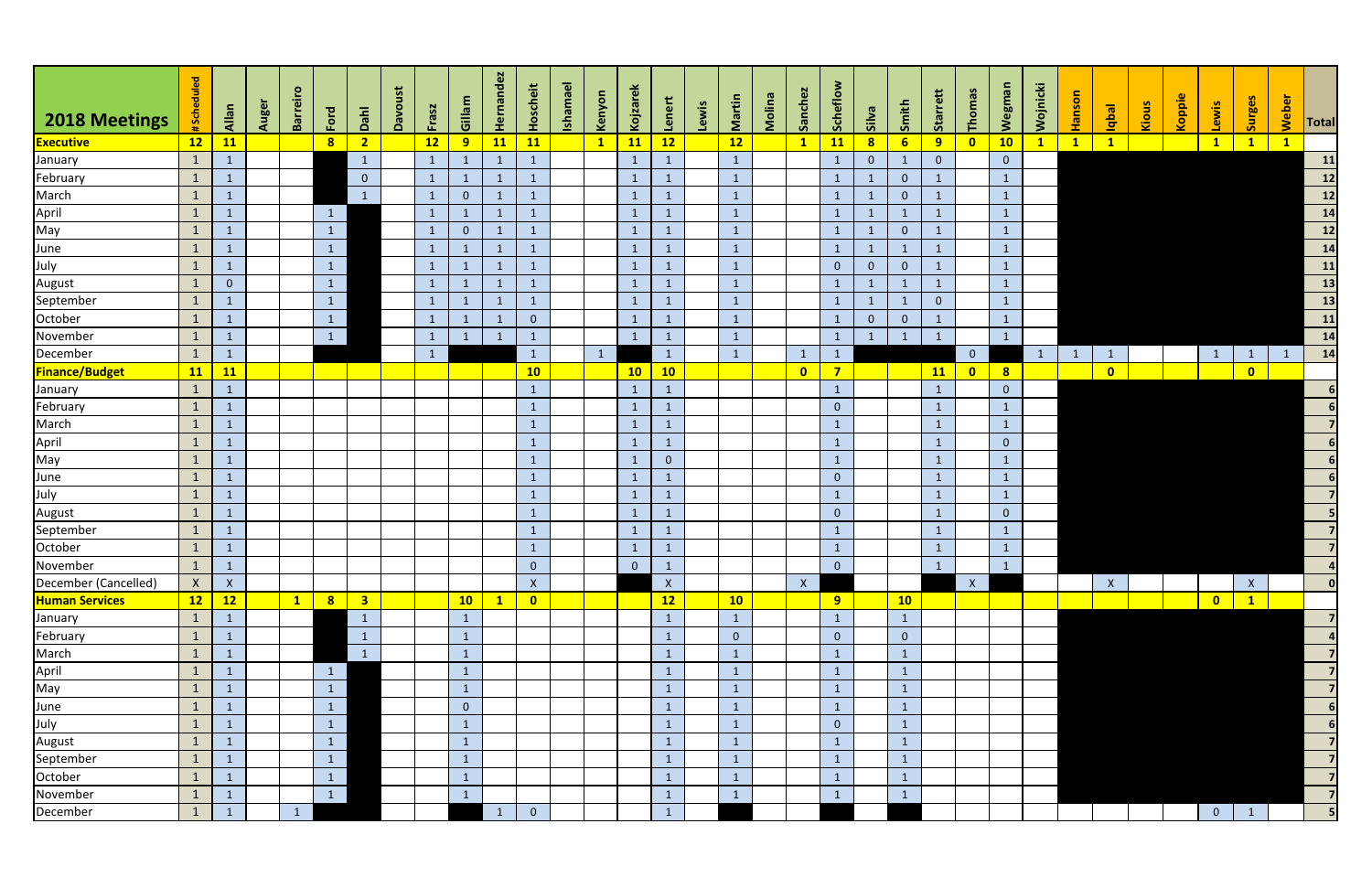| 2018 Meetings         | #Scheduled   | Allan          | Auger | Barreiro     | Ford            | Dahl                    | Davoust | Frasz        | Gillam         | Hernandez    | Hoscheit       | <b>Ishamael</b> | Kenyon       | Kojzarek       | Lenert          | Lewis | Martin         | Molina | Sanchez        | Scheflow                | silva          | Smith          | Starrett       | Thomas         | Wegma          | Wojnicki     | <b>C</b><br><b>Hanso</b> | <b>Isdpl</b> | Kious | Koppie | Lewis          | Surges         | Weber        | Total                                                                         |
|-----------------------|--------------|----------------|-------|--------------|-----------------|-------------------------|---------|--------------|----------------|--------------|----------------|-----------------|--------------|----------------|-----------------|-------|----------------|--------|----------------|-------------------------|----------------|----------------|----------------|----------------|----------------|--------------|--------------------------|--------------|-------|--------|----------------|----------------|--------------|-------------------------------------------------------------------------------|
| <b>Executive</b>      | 12           | <b>11</b>      |       |              | 8 <sup>1</sup>  | $\overline{2}$          |         | 12           | 9              | 11           | 11             |                 | $\mathbf{1}$ | <b>11</b>      | 12              |       | 12             |        | $\mathbf{1}$   | 11                      | 8              | 6 <sup>1</sup> | 9              | $\bullet$      | 10             | $\mathbf{1}$ | $\mathbf{1}$             | $\mathbf{1}$ |       |        | $\mathbf{1}$   | $\mathbf{1}$   | $\mathbf{1}$ |                                                                               |
| January               | $\mathbf{1}$ | $\mathbf{1}$   |       |              |                 | $\mathbf{1}$            |         | $\mathbf{1}$ | $\mathbf{1}$   | $\mathbf{1}$ | $\mathbf{1}$   |                 |              | $\mathbf{1}$   | $\mathbf{1}$    |       | $\mathbf{1}$   |        |                | $\mathbf{1}$            | $\overline{0}$ | $\mathbf{1}$   | $\overline{0}$ |                | $\overline{0}$ |              |                          |              |       |        |                |                |              | 11                                                                            |
| February              | $\mathbf{1}$ | $\mathbf{1}$   |       |              |                 | $\overline{0}$          |         | $\mathbf{1}$ | $\mathbf{1}$   | $\mathbf{1}$ | $\mathbf{1}$   |                 |              | $\mathbf{1}$   | $\mathbf{1}$    |       | $\mathbf{1}$   |        |                | $\mathbf{1}$            | $\mathbf{1}$   | $\overline{0}$ | -1             |                | $\mathbf{1}$   |              |                          |              |       |        |                |                |              |                                                                               |
| March                 | $\mathbf{1}$ | $\mathbf{1}$   |       |              |                 | $\mathbf{1}$            |         | $\mathbf{1}$ | $\overline{0}$ | $\mathbf{1}$ |                |                 |              | $\mathbf{1}$   | $\mathbf{1}$    |       | $\mathbf{1}$   |        |                | $\mathbf{1}$            |                | $\overline{0}$ |                |                | $\mathbf{1}$   |              |                          |              |       |        |                |                |              | $\begin{array}{c}\n\hline\n12 \\ \hline\n12 \\ \hline\n14\n\end{array}$       |
| April                 | $\mathbf{1}$ | $\mathbf{1}$   |       |              | $\mathbf{1}$    |                         |         | $\mathbf{1}$ | $\mathbf{1}$   | $\mathbf{1}$ |                |                 |              | $\mathbf{1}$   |                 |       | $\mathbf{1}$   |        |                | $\mathbf{1}$            |                | $\mathbf{1}$   |                |                | $\mathbf{1}$   |              |                          |              |       |        |                |                |              |                                                                               |
| May                   | $\mathbf{1}$ | $\mathbf{1}$   |       |              | $\mathbf{1}$    |                         |         | -1           | $\mathbf{0}$   | $\mathbf{1}$ | $\mathbf{1}$   |                 |              | $\vert$ 1      | $\mathbf{1}$    |       | $\mathbf{1}$   |        |                | $\mathbf{1}$            | $\mathbf{1}$   | $\overline{0}$ |                |                | $\mathbf{1}$   |              |                          |              |       |        |                |                |              | $\overline{\mathbf{12}}$                                                      |
| June                  | $\mathbf{1}$ | $\mathbf{1}$   |       |              | $\mathbf{1}$    |                         |         | $\mathbf{1}$ | $\mathbf{1}$   | $\mathbf{1}$ | $\mathbf{1}$   |                 |              | $\mathbf{1}$   | $\mathbf{1}$    |       | $\mathbf{1}$   |        |                | $\mathbf{1}$            | $\mathbf{1}$   | $\mathbf{1}$   | $\mathbf 1$    |                | $\mathbf{1}$   |              |                          |              |       |        |                |                |              | $\begin{array}{r} \hline \phantom{1}14 \\ \hline 11 \\ \hline 13 \end{array}$ |
| July                  | $\mathbf{1}$ | $\mathbf{1}$   |       |              | $\mathbf{1}$    |                         |         | $\mathbf{1}$ | $\mathbf{1}$   | $\mathbf{1}$ | 1              |                 |              | $\mathbf{1}$   | $\mathbf{1}$    |       | $\mathbf{1}$   |        |                | $\overline{0}$          | $\overline{0}$ | $\mathbf{0}$   |                |                | $\mathbf{1}$   |              |                          |              |       |        |                |                |              |                                                                               |
| August                | $\mathbf{1}$ | $\overline{0}$ |       |              | $\mathbf{1}$    |                         |         | $\mathbf{1}$ | $\mathbf{1}$   | $\mathbf{1}$ |                |                 |              | $\mathbf{1}$   | $\mathbf{1}$    |       | $\mathbf{1}$   |        |                | $\mathbf{1}$            |                | $\mathbf{1}$   |                |                | $\mathbf{1}$   |              |                          |              |       |        |                |                |              |                                                                               |
| September             | $\mathbf{1}$ | $\mathbf{1}$   |       |              | $\mathbf{1}$    |                         |         |              | $\mathbf{1}$   | $\mathbf{1}$ |                |                 |              | $\mathbf{1}$   |                 |       | $\mathbf{1}$   |        |                | $\mathbf{1}$            |                | $\mathbf{1}$   | $\overline{0}$ |                | $\mathbf{1}$   |              |                          |              |       |        |                |                |              | $\begin{array}{c c}\n\hline\n & 13 \\ \hline\n & 11\n\end{array}$             |
| October               | $\mathbf{1}$ | $\mathbf{1}$   |       |              | $\vert$ 1       |                         |         | $\mathbf{1}$ | $\mathbf{1}$   | $\mathbf{1}$ | $\overline{0}$ |                 |              | $\mathbf{1}$   | $\mathbf{1}$    |       | $\mathbf{1}$   |        |                | $\mathbf{1}$            | $\overline{0}$ | $\overline{0}$ |                |                | $\mathbf{1}$   |              |                          |              |       |        |                |                |              |                                                                               |
| November              | $\mathbf{1}$ | $\mathbf{1}$   |       |              | $\vert 1 \vert$ |                         |         | -1           | $\mathbf{1}$   | $\mathbf{1}$ | -1             |                 |              | $\mathbf{1}$   | $\mathbf{1}$    |       | $\mathbf{1}$   |        |                | $\mathbf{1}$            |                | $\mathbf{1}$   |                |                | $\mathbf{1}$   |              |                          |              |       |        |                |                |              |                                                                               |
| December              | $\mathbf{1}$ | $\mathbf 1$    |       |              |                 |                         |         | $\mathbf{1}$ |                |              | $\mathbf{1}$   |                 | $\mathbf{1}$ |                | $\mathbf{1}$    |       | $\mathbf{1}$   |        |                | $\mathbf{1}$            |                |                |                | $\overline{0}$ |                | $\mathbf{1}$ | $\overline{1}$           | $\mathbf{1}$ |       |        | $\mathbf{1}$   | $\mathbf{1}$   | $\mathbf{1}$ | 14                                                                            |
| <b>Finance/Budget</b> | <b>11</b>    | <b>11</b>      |       |              |                 |                         |         |              |                |              | 10             |                 |              | 10             | 10              |       |                |        | $\bullet$      | $\overline{\mathbf{z}}$ |                |                | 11             | $\bullet$      | 8              |              |                          | $\bullet$    |       |        |                | $\bullet$      |              |                                                                               |
| January               | $\mathbf{1}$ | $\mathbf{1}$   |       |              |                 |                         |         |              |                |              | $\mathbf{1}$   |                 |              | $\mathbf{1}$   | $\mathbf{1}$    |       |                |        |                | $\mathbf{1}$            |                |                | $\mathbf{1}$   |                | $\overline{0}$ |              |                          |              |       |        |                |                |              |                                                                               |
| February              | $\mathbf{1}$ | $\mathbf{1}$   |       |              |                 |                         |         |              |                |              | $\mathbf{1}$   |                 |              | $\mathbf{1}$   | $\mathbf{1}$    |       |                |        |                | $\overline{0}$          |                |                | $\mathbf{1}$   |                | $\mathbf{1}$   |              |                          |              |       |        |                |                |              |                                                                               |
| March                 | $\mathbf{1}$ | $\mathbf{1}$   |       |              |                 |                         |         |              |                |              | $\mathbf{1}$   |                 |              | $\mathbf{1}$   | $\mathbf{1}$    |       |                |        |                | $\mathbf{1}$            |                |                | $\mathbf{1}$   |                | $\mathbf{1}$   |              |                          |              |       |        |                |                |              |                                                                               |
| April                 | $\mathbf{1}$ | $\mathbf{1}$   |       |              |                 |                         |         |              |                |              | $\mathbf{1}$   |                 |              | $\mathbf{1}$   | $\mathbf{1}$    |       |                |        |                | $\mathbf{1}$            |                |                | $\mathbf{1}$   |                | $\overline{0}$ |              |                          |              |       |        |                |                |              | 6                                                                             |
| May                   | $\mathbf{1}$ | $\mathbf{1}$   |       |              |                 |                         |         |              |                |              | $\mathbf{1}$   |                 |              | $\mathbf{1}$   | $\overline{0}$  |       |                |        |                | $\mathbf{1}$            |                |                | $\mathbf{1}$   |                | $\mathbf{1}$   |              |                          |              |       |        |                |                |              |                                                                               |
| June                  | $\mathbf{1}$ | $\mathbf{1}$   |       |              |                 |                         |         |              |                |              | $\mathbf{1}$   |                 |              | $\mathbf{1}$   | $\mathbf{1}$    |       |                |        |                | $\overline{0}$          |                |                | $\mathbf{1}$   |                | $\mathbf{1}$   |              |                          |              |       |        |                |                |              |                                                                               |
| July                  | $\mathbf{1}$ | $\mathbf 1$    |       |              |                 |                         |         |              |                |              | $\mathbf{1}$   |                 |              | $\mathbf{1}$   |                 |       |                |        |                | $\mathbf{1}$            |                |                | $\mathbf 1$    |                | $\mathbf{1}$   |              |                          |              |       |        |                |                |              |                                                                               |
| August                | $\mathbf{1}$ | $\mathbf{1}$   |       |              |                 |                         |         |              |                |              | $\mathbf{1}$   |                 |              | $\mathbf{1}$   | $\mathbf{1}$    |       |                |        |                | $\overline{0}$          |                |                | $\mathbf{1}$   |                | $\overline{0}$ |              |                          |              |       |        |                |                |              |                                                                               |
| September             | $\mathbf{1}$ | $\mathbf{1}$   |       |              |                 |                         |         |              |                |              | $\mathbf{1}$   |                 |              | $\mathbf{1}$   | $\mathbf{1}$    |       |                |        |                | $\mathbf{1}$            |                |                | $\mathbf{1}$   |                | $\mathbf{1}$   |              |                          |              |       |        |                |                |              |                                                                               |
| October               | $\mathbf{1}$ | $\mathbf{1}$   |       |              |                 |                         |         |              |                |              | $\mathbf{1}$   |                 |              | $\mathbf{1}$   | $\sqrt{1}$      |       |                |        |                | $\mathbf{1}$            |                |                | $\mathbf{1}$   |                | $\mathbf{1}$   |              |                          |              |       |        |                |                |              |                                                                               |
| November              | $\mathbf{1}$ | $\vert$ 1      |       |              |                 |                         |         |              |                |              | $\overline{0}$ |                 |              | $\overline{0}$ | $\mathbf{1}$    |       |                |        |                | $\mathbf 0$             |                |                | $\mathbf{1}$   |                | $\mathbf{L}$   |              |                          |              |       |        |                |                |              |                                                                               |
| December (Cancelled)  | $\mathsf{X}$ | $\mathsf{X}$   |       |              |                 |                         |         |              |                |              | $\mathsf{X}$   |                 |              |                | $\mathsf{X}$    |       |                |        | $\mathsf{X}^-$ |                         |                |                |                | $\mathsf{X}$   |                |              |                          | $\mathsf{X}$ |       |        |                | $\mathsf{X}^-$ |              | 0                                                                             |
| <b>Human Services</b> | 12           | 12             |       | $\mathbf{1}$ | 8 <sup>1</sup>  | $\overline{\mathbf{3}}$ |         |              | 10             | $\vert$ 1    | $\bullet$      |                 |              |                | 12              |       | 10             |        |                | 9                       |                | 10             |                |                |                |              |                          |              |       |        | $\bullet$      | $\mathbf{1}$   |              |                                                                               |
| January               | $\mathbf{1}$ | $\mathbf{1}$   |       |              |                 | $\mathbf{1}$            |         |              | $\mathbf{1}$   |              |                |                 |              |                | $\mathbf{1}$    |       | $\mathbf{1}$   |        |                | $\mathbf{1}$            |                | $\mathbf{1}$   |                |                |                |              |                          |              |       |        |                |                |              |                                                                               |
| February              | $\mathbf{1}$ | $\mathbf{1}$   |       |              |                 | $\mathbf{1}$            |         |              | $\mathbf{1}$   |              |                |                 |              |                | $\mathbf{1}$    |       | $\overline{0}$ |        |                | $\overline{0}$          |                | $\overline{0}$ |                |                |                |              |                          |              |       |        |                |                |              | $\vert$                                                                       |
| March                 | $\mathbf{1}$ | $\mathbf{1}$   |       |              |                 | $\mathbf{1}$            |         |              | $\mathbf{1}$   |              |                |                 |              |                | $\vert 1 \vert$ |       | $\mathbf{1}$   |        |                | $\mathbf{1}$            |                | $\mathbf{1}$   |                |                |                |              |                          |              |       |        |                |                |              | $\overline{7}$                                                                |
| April                 | $\mathbf{1}$ | $\mathbf{1}$   |       |              | $\vert$ 1       |                         |         |              | $\mathbf{1}$   |              |                |                 |              |                | $\mathbf{1}$    |       | $\mathbf{1}$   |        |                | $\mathbf{1}$            |                | $\mathbf{1}$   |                |                |                |              |                          |              |       |        |                |                |              | $\overline{7}$                                                                |
| May                   | $\mathbf{1}$ | $\mathbf{1}$   |       |              | $\mathbf{1}$    |                         |         |              | $\mathbf{1}$   |              |                |                 |              |                | $\mathbf{1}$    |       | $\mathbf{1}$   |        |                | $\mathbf{1}$            |                | $\mathbf{1}$   |                |                |                |              |                          |              |       |        |                |                |              | 7                                                                             |
| June                  | $\mathbf{1}$ | $\mathbf{1}$   |       |              | $\mathbf{1}$    |                         |         |              | $\overline{0}$ |              |                |                 |              |                | $\mathbf{1}$    |       | $\mathbf{1}$   |        |                | 1                       |                | $\mathbf{1}$   |                |                |                |              |                          |              |       |        |                |                |              | 6 <sup>1</sup>                                                                |
| July                  | $\mathbf{1}$ | $\mathbf{1}$   |       |              | $\mathbf{1}$    |                         |         |              | $\mathbf{1}$   |              |                |                 |              |                |                 |       | $\mathbf{1}$   |        |                | $\overline{0}$          |                | $\mathbf{1}$   |                |                |                |              |                          |              |       |        |                |                |              | 6 <sup>1</sup>                                                                |
| August                | $\mathbf{1}$ | $\mathbf{1}$   |       |              | $\vert$ 1       |                         |         |              | $\mathbf{1}$   |              |                |                 |              |                | $\mathbf{1}$    |       | $\mathbf{1}$   |        |                | $\mathbf{1}$            |                | $\mathbf{1}$   |                |                |                |              |                          |              |       |        |                |                |              |                                                                               |
| September             | $\mathbf{1}$ | $\mathbf{1}$   |       |              | $\mathbf{1}$    |                         |         |              | $\mathbf{1}$   |              |                |                 |              |                | $\mathbf{1}$    |       | $\mathbf{1}$   |        |                | $\mathbf{1}$            |                | $\mathbf{1}$   |                |                |                |              |                          |              |       |        |                |                |              |                                                                               |
| October               | $\mathbf{1}$ | $\mathbf{1}$   |       |              | $\mathbf{1}$    |                         |         |              | $\mathbf{1}$   |              |                |                 |              |                | $\mathbf{1}$    |       | $\mathbf{1}$   |        |                | $\mathbf{1}$            |                | $\mathbf{1}$   |                |                |                |              |                          |              |       |        |                |                |              |                                                                               |
| November              | $\mathbf{1}$ | $\mathbf 1$    |       |              | $\mathbf{1}$    |                         |         |              | $\mathbf{1}$   |              |                |                 |              |                | $\mathbf{1}$    |       | $\mathbf{1}$   |        |                | $\mathbf{1}$            |                | $\mathbf{1}$   |                |                |                |              |                          |              |       |        |                |                |              | $\overline{7}$                                                                |
| December              | $\mathbf{1}$ | $\mathbf{1}$   |       | $\mathbf{1}$ |                 |                         |         |              |                | $\mathbf{1}$ | $\overline{0}$ |                 |              |                | $\overline{1}$  |       |                |        |                |                         |                |                |                |                |                |              |                          |              |       |        | $\overline{0}$ | $\mathbf{1}$   |              |                                                                               |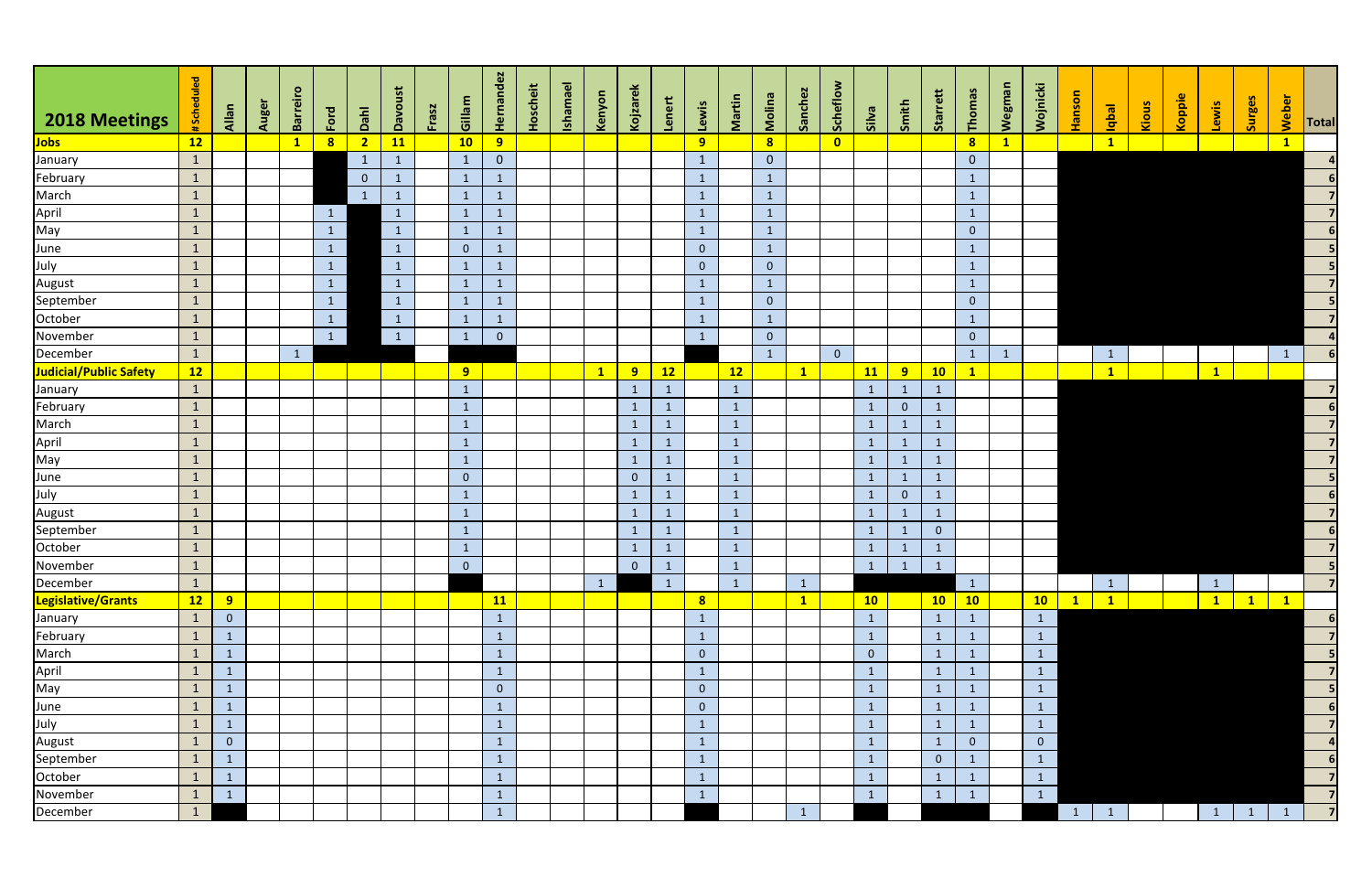| 2018 Meetings                                            | #Scheduled   | <b>Allan</b>   | Auger | Barreiro | Ford            | Dahl           | Davoust      | Frasz | Gillam         | <b>Hernandez</b> | <b>Hoscheit</b> | <b>Ishamael</b> | Kenyon       | Kojzarek       | Lenert          | Lewis          | Martin       | Molina                  | Sanchez      | Scheflow       | silva          | Smith          | Starrett       | Thomas                  | <b>Wegman</b>           | Wojnicki       | <b>Hanson</b> | <b>I</b> edpl | Kious | Koppie | Lewis        | Surges          | Weber        | <b>Total</b>   |
|----------------------------------------------------------|--------------|----------------|-------|----------|-----------------|----------------|--------------|-------|----------------|------------------|-----------------|-----------------|--------------|----------------|-----------------|----------------|--------------|-------------------------|--------------|----------------|----------------|----------------|----------------|-------------------------|-------------------------|----------------|---------------|---------------|-------|--------|--------------|-----------------|--------------|----------------|
| <mark>Jobs</mark>                                        | 12           |                |       |          | 8               | $\overline{2}$ | 11           |       | 10             | 9                |                 |                 |              |                |                 | 9              |              | $\overline{\mathbf{8}}$ |              | $\bullet$      |                |                |                | $\overline{\mathbf{8}}$ | $\overline{\mathbf{1}}$ |                |               | $\mathbf{1}$  |       |        |              |                 | $\mathbf{1}$ |                |
| January                                                  | $\mathbf{1}$ |                |       |          |                 | $\mathbf{1}$   | $\mathbf{1}$ |       | $\mathbf{1}$   | $\overline{0}$   |                 |                 |              |                |                 | $\mathbf{1}$   |              | $\overline{0}$          |              |                |                |                |                | $\overline{0}$          |                         |                |               |               |       |        |              |                 |              |                |
| February                                                 | $\mathbf{1}$ |                |       |          |                 | $\overline{0}$ | $\mathbf{1}$ |       | $\mathbf{1}$   | $\mathbf{1}$     |                 |                 |              |                |                 | $\mathbf{1}$   |              | $\mathbf{1}$            |              |                |                |                |                | $\mathbf{1}$            |                         |                |               |               |       |        |              |                 |              |                |
|                                                          | $\mathbf{1}$ |                |       |          |                 | $\mathbf{1}$   | $\mathbf{1}$ |       | $\mathbf{1}$   | $\mathbf{1}$     |                 |                 |              |                |                 | $\mathbf{1}$   |              | $\mathbf{1}$            |              |                |                |                |                | $\mathbf{1}$            |                         |                |               |               |       |        |              |                 |              |                |
|                                                          | $\mathbf{1}$ |                |       |          | $\mathbf{1}$    |                | $\mathbf{1}$ |       | $\mathbf{1}$   | $\mathbf{1}$     |                 |                 |              |                |                 | $\mathbf{1}$   |              | $\mathbf{1}$            |              |                |                |                |                | $\mathbf{1}$            |                         |                |               |               |       |        |              |                 |              |                |
|                                                          | $\mathbf{1}$ |                |       |          | $\mathbf{1}$    |                | $\mathbf{1}$ |       | $\mathbf{1}$   | $\mathbf{1}$     |                 |                 |              |                |                 | $\mathbf{1}$   |              | $\mathbf{1}$            |              |                |                |                |                | $\overline{0}$          |                         |                |               |               |       |        |              |                 |              |                |
| March<br>April<br>May<br>June<br>July<br>August          | $\mathbf{1}$ |                |       |          | $\mathbf{1}$    |                | $\mathbf{1}$ |       | $\overline{0}$ | $\mathbf{1}$     |                 |                 |              |                |                 | $\overline{0}$ |              | $\mathbf{1}$            |              |                |                |                |                | $\mathbf{1}$            |                         |                |               |               |       |        |              |                 |              |                |
|                                                          | $\mathbf{1}$ |                |       |          | $\mathbf{1}$    |                | $\mathbf{1}$ |       | $\mathbf{1}$   | $\mathbf{1}$     |                 |                 |              |                |                 | $\overline{0}$ |              | $\overline{0}$          |              |                |                |                |                | $\mathbf{1}$            |                         |                |               |               |       |        |              |                 |              |                |
|                                                          | $\mathbf{1}$ |                |       |          | $\mathbf{1}$    |                | $\mathbf{1}$ |       | $\mathbf{1}$   | $\mathbf{1}$     |                 |                 |              |                |                 | $\mathbf{1}$   |              | $\mathbf{1}$            |              |                |                |                |                | $\mathbf{1}$            |                         |                |               |               |       |        |              |                 |              |                |
| September                                                | $\mathbf{1}$ |                |       |          | $\mathbf{1}$    |                | $\mathbf{1}$ |       | $\mathbf{1}$   | $\mathbf{1}$     |                 |                 |              |                |                 | $\mathbf{1}$   |              | $\overline{0}$          |              |                |                |                |                | $\overline{0}$          |                         |                |               |               |       |        |              |                 |              |                |
| October                                                  | $\mathbf{1}$ |                |       |          | $\vert 1 \vert$ |                | $\mathbf{1}$ |       | $\mathbf{1}$   | $\mathbf{1}$     |                 |                 |              |                |                 | $\mathbf{1}$   |              | $\mathbf{1}$            |              |                |                |                |                | $\mathbf{1}$            |                         |                |               |               |       |        |              |                 |              |                |
| November                                                 | $\mathbf{1}$ |                |       |          | 1               |                | $\mathbf{1}$ |       | $\mathbf{1}$   | $\overline{0}$   |                 |                 |              |                |                 | $\mathbf{1}$   |              | $\overline{0}$          |              |                |                |                |                | $\overline{0}$          |                         |                |               |               |       |        |              |                 |              |                |
| December                                                 | $\mathbf{1}$ |                |       |          |                 |                |              |       |                |                  |                 |                 |              |                |                 |                |              | $\mathbf{1}$            |              | $\overline{0}$ |                |                |                | $\mathbf{1}$            |                         |                |               | $\mathbf{1}$  |       |        |              |                 |              |                |
| Judicial/Public Safety                                   | 12           |                |       |          |                 |                |              |       | 9 <sup>°</sup> |                  |                 |                 | $\mathbf{1}$ | 9              | 12              |                | 12           |                         | $\mathbf{1}$ |                | <b>11</b>      | 9              | 10             | $\mathbf{1}$            |                         |                |               | $\mathbf{1}$  |       |        | $\mathbf{1}$ |                 |              |                |
| January                                                  | $\mathbf{1}$ |                |       |          |                 |                |              |       | $\mathbf{1}$   |                  |                 |                 |              | $\mathbf{1}$   | $\mathbf{1}$    |                | $\mathbf{1}$ |                         |              |                | $\mathbf{1}$   | $\mathbf{1}$   |                |                         |                         |                |               |               |       |        |              |                 |              |                |
| February                                                 | $\mathbf{1}$ |                |       |          |                 |                |              |       | $\mathbf{1}$   |                  |                 |                 |              | $\mathbf{1}$   | $\mathbf{1}$    |                | $\mathbf{1}$ |                         |              |                | $\mathbf{1}$   | $\overline{0}$ | $\sqrt{1}$     |                         |                         |                |               |               |       |        |              |                 |              |                |
| March<br>April<br>May<br>June<br>July<br>August          | $\mathbf{1}$ |                |       |          |                 |                |              |       | $\mathbf{1}$   |                  |                 |                 |              | $\mathbf{1}$   | $\mathbf{1}$    |                | $\mathbf{1}$ |                         |              |                | $\mathbf{1}$   | $\mathbf{1}$   | $\blacksquare$ |                         |                         |                |               |               |       |        |              |                 |              |                |
|                                                          | $\mathbf{1}$ |                |       |          |                 |                |              |       | $\mathbf{1}$   |                  |                 |                 |              | $\mathbf{1}$   | $\mathbf{1}$    |                | $\mathbf{1}$ |                         |              |                | $\mathbf{1}$   | $\mathbf{1}$   | $\mathbf{1}$   |                         |                         |                |               |               |       |        |              |                 |              | $\overline{7}$ |
|                                                          | $\mathbf{1}$ |                |       |          |                 |                |              |       | $\mathbf{1}$   |                  |                 |                 |              | $\mathbf{1}$   | $\mathbf{1}$    |                | $\mathbf{1}$ |                         |              |                | $\mathbf{1}$   | $\mathbf{1}$   | -1             |                         |                         |                |               |               |       |        |              |                 |              |                |
|                                                          | $\mathbf{1}$ |                |       |          |                 |                |              |       | $\overline{0}$ |                  |                 |                 |              | $\overline{0}$ | $\mathbf{1}$    |                | $\mathbf{1}$ |                         |              |                | $\mathbf{1}$   | $\mathbf{1}$   | -1             |                         |                         |                |               |               |       |        |              |                 |              |                |
|                                                          | $\mathbf{1}$ |                |       |          |                 |                |              |       | $\mathbf{1}$   |                  |                 |                 |              | $\mathbf{1}$   | $\mathbf{1}$    |                | $\mathbf{1}$ |                         |              |                | $\mathbf{1}$   | $\overline{0}$ |                |                         |                         |                |               |               |       |        |              |                 |              | 6 <sup>1</sup> |
|                                                          | $\mathbf{1}$ |                |       |          |                 |                |              |       | $\mathbf{1}$   |                  |                 |                 |              | $\mathbf{1}$   | $\mathbf{1}$    |                | $\mathbf 1$  |                         |              |                | $\mathbf{1}$   | $\mathbf{1}$   |                |                         |                         |                |               |               |       |        |              |                 |              | $\overline{7}$ |
| September                                                | $\mathbf{1}$ |                |       |          |                 |                |              |       | $\mathbf{1}$   |                  |                 |                 |              | $\mathbf{1}$   | $\mathbf{1}$    |                | $\mathbf{1}$ |                         |              |                | $\mathbf 1$    | $\mathbf{1}$   | $\overline{0}$ |                         |                         |                |               |               |       |        |              |                 |              |                |
| October<br>November<br>December                          | $\mathbf{1}$ |                |       |          |                 |                |              |       | $\mathbf{1}$   |                  |                 |                 |              | $\mathbf{1}$   | $\mathbf{1}$    |                | $\mathbf{1}$ |                         |              |                | $\mathbf{1}$   | $\mathbf{1}$   | $\mathbf{1}$   |                         |                         |                |               |               |       |        |              |                 |              |                |
|                                                          | $\mathbf{1}$ |                |       |          |                 |                |              |       | $\overline{0}$ |                  |                 |                 |              | $\overline{0}$ | $\vert 1 \vert$ |                | $\mathbf{1}$ |                         |              |                | $1 \mid$       | $1 \mid 1$     |                |                         |                         |                |               |               |       |        |              |                 |              |                |
|                                                          | $\mathbf{1}$ |                |       |          |                 |                |              |       |                |                  |                 |                 | $\mathbf{1}$ |                | $\mathbf{1}$    |                | $\mathbf{1}$ |                         |              |                |                |                |                | $\mathbf{1}$            |                         |                |               | $\mathbf{1}$  |       |        | $\mathbf{1}$ |                 |              |                |
| Legislative/Grants                                       | 12           | 9              |       |          |                 |                |              |       |                | 11               |                 |                 |              |                |                 | 8              |              |                         | $\mathbf{1}$ |                | 10             |                | 10             | 10                      |                         | 10             | $\mathbf{1}$  | $\mathbf{1}$  |       |        | $\mathbf{1}$ | $\mathbf{1}$    | $\vert$ 1    |                |
| January                                                  | $\mathbf{1}$ | $\overline{0}$ |       |          |                 |                |              |       |                | $\mathbf{1}$     |                 |                 |              |                |                 | $\mathbf{1}$   |              |                         |              |                | $\mathbf{1}$   |                | $\mathbf{1}$   | $\mathbf{1}$            |                         | $\mathbf{1}$   |               |               |       |        |              |                 |              |                |
| February                                                 | $\mathbf{1}$ | $\mathbf{1}$   |       |          |                 |                |              |       |                | $\mathbf{1}$     |                 |                 |              |                |                 | $\mathbf{1}$   |              |                         |              |                | $\mathbf{1}$   |                | $\overline{1}$ | $\mathbf 1$             |                         | $\mathbf{1}$   |               |               |       |        |              |                 |              |                |
|                                                          | $\mathbf{1}$ | $\mathbf{1}$   |       |          |                 |                |              |       |                | $\mathbf{1}$     |                 |                 |              |                |                 | $\overline{0}$ |              |                         |              |                | $\overline{0}$ |                | $\mathbf{1}$   | 1                       |                         | $\mathbf{1}$   |               |               |       |        |              |                 |              |                |
|                                                          | $\mathbf{1}$ | $\mathbf{1}$   |       |          |                 |                |              |       |                | $\mathbf{1}$     |                 |                 |              |                |                 | $\mathbf{1}$   |              |                         |              |                |                |                |                | $\mathbf{1}$            |                         | $\mathbf{1}$   |               |               |       |        |              |                 |              | 7              |
|                                                          | $\mathbf{1}$ | $\mathbf{1}$   |       |          |                 |                |              |       |                | $\overline{0}$   |                 |                 |              |                |                 | $\overline{0}$ |              |                         |              |                | $\mathbf{1}$   |                | $\sqrt{1}$     | $\mathbf{1}$            |                         | $\mathbf{1}$   |               |               |       |        |              |                 |              |                |
|                                                          | $\mathbf{1}$ | $\mathbf{1}$   |       |          |                 |                |              |       |                | $\mathbf{1}$     |                 |                 |              |                |                 | $\overline{0}$ |              |                         |              |                | $\mathbf{1}$   |                | $\mathbf{1}$   | $\mathbf{1}$            |                         | $\mathbf{1}$   |               |               |       |        |              |                 |              |                |
| March<br>March<br>April<br>May<br>June<br>July<br>August | $\mathbf{1}$ | $\mathbf{1}$   |       |          |                 |                |              |       |                | $\mathbf{1}$     |                 |                 |              |                |                 | $\mathbf{1}$   |              |                         |              |                |                |                | $\overline{1}$ | $\vert$ 1               |                         | $\mathbf{1}$   |               |               |       |        |              |                 |              | $\overline{7}$ |
|                                                          | $\mathbf{1}$ | $\mathbf 0$    |       |          |                 |                |              |       |                | $\mathbf{1}$     |                 |                 |              |                |                 | $\mathbf{1}$   |              |                         |              |                | $\mathbf{1}$   |                | $\mathbf{1}$   | $\mathbf{0}$            |                         | $\overline{0}$ |               |               |       |        |              |                 |              | $\vert$        |
| September                                                | $\mathbf{1}$ | $\mathbf{1}$   |       |          |                 |                |              |       |                | $\mathbf{1}$     |                 |                 |              |                |                 | $\mathbf{1}$   |              |                         |              |                |                |                | $\overline{0}$ | 1                       |                         | $\mathbf{1}$   |               |               |       |        |              |                 |              |                |
| October                                                  | $\mathbf{1}$ | $\mathbf{1}$   |       |          |                 |                |              |       |                | $\mathbf{1}$     |                 |                 |              |                |                 | $\mathbf{1}$   |              |                         |              |                | $\mathbf{1}$   |                | $\sqrt{1}$     | $\mathbf{1}$            |                         | $\mathbf{1}$   |               |               |       |        |              |                 |              |                |
| November                                                 | $\mathbf{1}$ | $\mathbf{1}$   |       |          |                 |                |              |       |                | $\mathbf{1}$     |                 |                 |              |                |                 | $\mathbf{1}$   |              |                         |              |                | $\mathbf{1}$   |                | $\mathbf{1}$   | $\mathbf{1}$            |                         | $\mathbf{1}$   |               |               |       |        |              |                 |              |                |
| December                                                 | $\mathbf{1}$ |                |       |          |                 |                |              |       |                | $\mathbf{1}$     |                 |                 |              |                |                 |                |              |                         |              |                |                |                |                |                         |                         |                | $\vert$ 1     | $\mathbf{1}$  |       |        | $\mathbf{1}$ | $\vert 1 \vert$ | $\vert$ 1    | $\overline{7}$ |